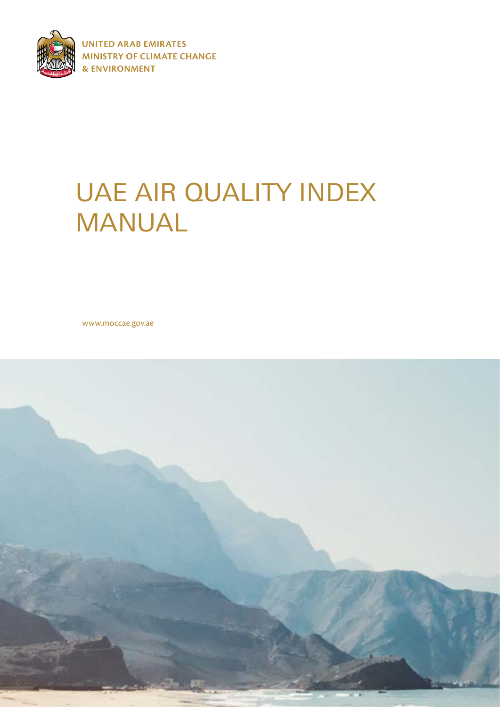

**UNITED ARAB EMIRATES MINISTRY OF CLIMATE CHANGE** & ENVIRONMENT

# UAE AIR QUALITY INDEX MANUAL

www.moccae.gov.ae

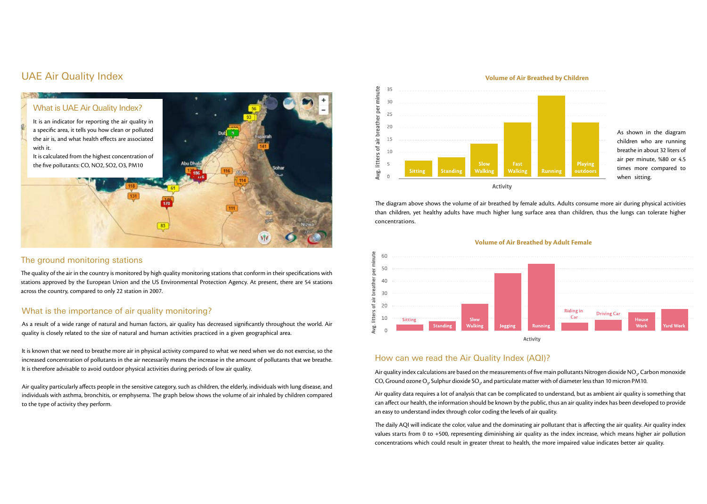## UAE Air Quality Index

### The ground monitoring stations

The quality of the air in the country is monitored by high quality monitoring stations that conform in their specifications with stations approved by the European Union and the US Environmental Protection Agency. At present, there are 54 stations across the country, compared to only 22 station in 2007.

#### What is the importance of air quality monitoring?

The diagram above shows the volume of air breathed by female adults. Adults consume more air during physical activities than children, yet healthy adults have much higher lung surface area than children, thus the lungs can tolerate higher concentrations.



minute

As a result of a wide range of natural and human factors, air quality has decreased significantly throughout the world. Air quality is closely related to the size of natural and human activities practiced in a given geographical area.

It is known that we need to breathe more air in physical activity compared to what we need when we do not exercise, so the increased concentration of pollutants in the air necessarily means the increase in the amount of pollutants that we breathe. It is therefore advisable to avoid outdoor physical activities during periods of low air quality.

Air quality particularly affects people in the sensitive category, such as children, the elderly, individuals with lung disease, and individuals with asthma, bronchitis, or emphysema. The graph below shows the volume of air inhaled by children compared to the type of activity they perform.

As shown in the diagram children who are running breathe in about 32 liters of air per minute, %80 or 4.5 times more compared to when sitting.



#### **Volume of Air Breathed by Adult Female**

#### How can we read the Air Quality Index (AQI)?

Air quality index calculations are based on the measurements of five main pollutants Nitrogen dioxide NO<sub>2</sub>, Carbon monoxide CO, Ground ozone O<sub>3</sub>, Sulphur dioxide SO<sub>2</sub>, and particulate matter with of diameter less than 10 micron PM10.

Air quality data requires a lot of analysis that can be complicated to understand, but as ambient air quality is something that can affect our health, the information should be known by the public, thus an air quality index has been developed to provide an easy to understand index through color coding the levels of air quality.

The daily AQI will indicate the color, value and the dominating air pollutant that is affecting the air quality. Air quality index values starts from 0 to +500, representing diminishing air quality as the index increase, which means higher air pollution concentrations which could result in greater threat to health, the more impaired value indicates better air quality.